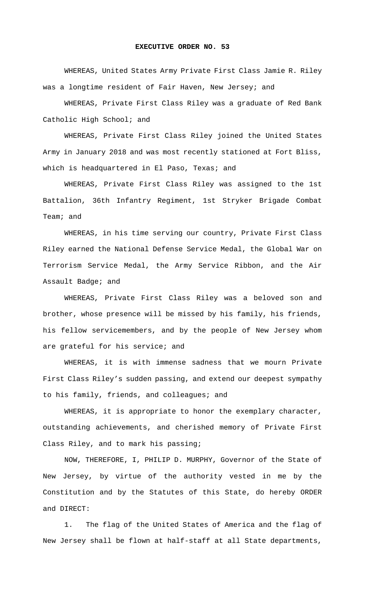## **EXECUTIVE ORDER NO. 53**

WHEREAS, United States Army Private First Class Jamie R. Riley was a longtime resident of Fair Haven, New Jersey; and

WHEREAS, Private First Class Riley was a graduate of Red Bank Catholic High School; and

WHEREAS, Private First Class Riley joined the United States Army in January 2018 and was most recently stationed at Fort Bliss, which is headquartered in El Paso, Texas; and

WHEREAS, Private First Class Riley was assigned to the 1st Battalion, 36th Infantry Regiment, 1st Stryker Brigade Combat Team; and

WHEREAS, in his time serving our country, Private First Class Riley earned the National Defense Service Medal, the Global War on Terrorism Service Medal, the Army Service Ribbon, and the Air Assault Badge; and

WHEREAS, Private First Class Riley was a beloved son and brother, whose presence will be missed by his family, his friends, his fellow servicemembers, and by the people of New Jersey whom are grateful for his service; and

WHEREAS, it is with immense sadness that we mourn Private First Class Riley's sudden passing, and extend our deepest sympathy to his family, friends, and colleagues; and

 WHEREAS, it is appropriate to honor the exemplary character, outstanding achievements, and cherished memory of Private First Class Riley, and to mark his passing;

 NOW, THEREFORE, I, PHILIP D. MURPHY, Governor of the State of New Jersey, by virtue of the authority vested in me by the Constitution and by the Statutes of this State, do hereby ORDER and DIRECT:

1. The flag of the United States of America and the flag of New Jersey shall be flown at half-staff at all State departments,